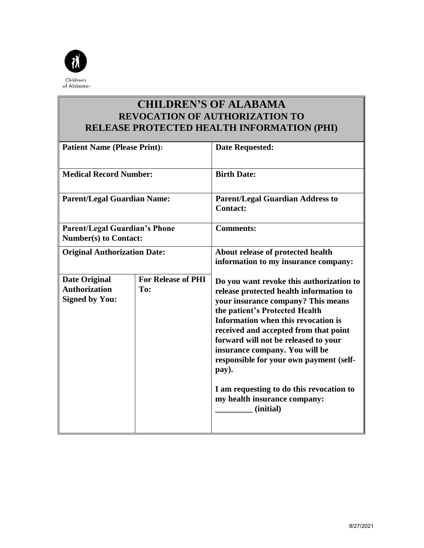

## **CHILDREN'S OF ALABAMA REVOCATION OF AUTHORIZATION TO RELEASE PROTECTED HEALTH INFORMATION (PHI)**

| <b>Patient Name (Please Print):</b>                                   |                                  | <b>Date Requested:</b>                                                                                                                                                                                                                                                                                                                                                                                                                                             |
|-----------------------------------------------------------------------|----------------------------------|--------------------------------------------------------------------------------------------------------------------------------------------------------------------------------------------------------------------------------------------------------------------------------------------------------------------------------------------------------------------------------------------------------------------------------------------------------------------|
| <b>Medical Record Number:</b>                                         |                                  | <b>Birth Date:</b>                                                                                                                                                                                                                                                                                                                                                                                                                                                 |
| <b>Parent/Legal Guardian Name:</b>                                    |                                  | <b>Parent/Legal Guardian Address to</b><br><b>Contact:</b>                                                                                                                                                                                                                                                                                                                                                                                                         |
| <b>Parent/Legal Guardian's Phone</b><br><b>Number(s) to Contact:</b>  |                                  | <b>Comments:</b>                                                                                                                                                                                                                                                                                                                                                                                                                                                   |
| <b>Original Authorization Date:</b>                                   |                                  | About release of protected health<br>information to my insurance company:                                                                                                                                                                                                                                                                                                                                                                                          |
| <b>Date Original</b><br><b>Authorization</b><br><b>Signed by You:</b> | <b>For Release of PHI</b><br>To: | Do you want revoke this authorization to<br>release protected health information to<br>your insurance company? This means<br>the patient's Protected Health<br>Information when this revocation is<br>received and accepted from that point<br>forward will not be released to your<br>insurance company. You will be<br>responsible for your own payment (self-<br>pay).<br>I am requesting to do this revocation to<br>my health insurance company:<br>(initial) |